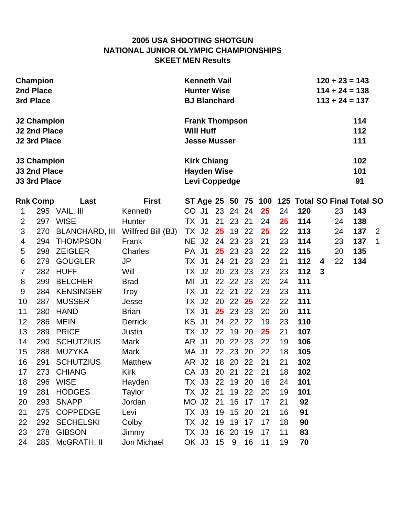### **2005 USA SHOOTING SHOTGUN NATIONAL JUNIOR OLYMPIC CHAMPIONSHIPS SKEET MEN Results**

|                                                                  | Champion<br>2nd Place<br>3rd Place                               |                       |                    |                                                                  | <b>Kenneth Vail</b><br><b>Hunter Wise</b><br><b>BJ Blanchard</b> |    |       |    |    |    |                                                 | $120 + 23 = 143$<br>$114 + 24 = 138$<br>$113 + 24 = 137$ |    |                   |             |
|------------------------------------------------------------------|------------------------------------------------------------------|-----------------------|--------------------|------------------------------------------------------------------|------------------------------------------------------------------|----|-------|----|----|----|-------------------------------------------------|----------------------------------------------------------|----|-------------------|-------------|
|                                                                  | <b>J2 Champion</b><br><b>J2 2nd Place</b><br><b>J2 3rd Place</b> |                       |                    | <b>Frank Thompson</b><br><b>Will Huff</b><br><b>Jesse Musser</b> |                                                                  |    |       |    |    |    |                                                 |                                                          |    | 114<br>112<br>111 |             |
| <b>J3 Champion</b><br><b>J3 2nd Place</b><br><b>J3 3rd Place</b> |                                                                  |                       |                    |                                                                  | <b>Kirk Chiang</b><br><b>Hayden Wise</b><br>Levi Coppedge        |    |       |    |    |    |                                                 |                                                          |    | 102<br>101<br>91  |             |
|                                                                  | <b>Rnk Comp</b>                                                  | Last                  | <b>First</b>       |                                                                  |                                                                  |    |       |    |    |    | ST Age 25 50 75 100 125 Total SO Final Total SO |                                                          |    |                   |             |
| 1                                                                |                                                                  | 295 VAIL, III         | Kenneth            |                                                                  | CO J1 23 24 24                                                   |    |       |    | 25 | 24 | 120                                             |                                                          | 23 | 143               |             |
| $\overline{2}$                                                   | 297                                                              | <b>WISE</b>           | Hunter             |                                                                  | TX J1                                                            | 21 | 23    | 21 | 24 | 25 | 114                                             |                                                          | 24 | 138               |             |
| 3                                                                | 270                                                              | <b>BLANCHARD, III</b> | Willfred Bill (BJ) |                                                                  | TX J2                                                            | 25 | 19    | 22 | 25 | 22 | 113                                             |                                                          | 24 | 137               | 2           |
| 4                                                                | 294                                                              | <b>THOMPSON</b>       | Frank              |                                                                  | NE J2                                                            | 24 | 23    | 23 | 21 | 23 | 114                                             |                                                          | 23 | 137               | $\mathbf 1$ |
| 5                                                                | 298                                                              | <b>ZEIGLER</b>        | Charles            | PA J1                                                            |                                                                  | 25 | 23    | 23 | 22 | 22 | 115                                             |                                                          | 20 | 135               |             |
| 6                                                                | 279                                                              | <b>GOUGLER</b>        | <b>JP</b>          |                                                                  | TX J1                                                            |    | 24 21 | 23 | 23 | 21 | 112                                             | 4                                                        | 22 | 134               |             |
| $\overline{7}$                                                   | 282                                                              | <b>HUFF</b>           | Will               |                                                                  | TX J2                                                            | 20 | 23    | 23 | 23 | 23 | 112                                             | $\mathbf{3}$                                             |    |                   |             |
| 8                                                                | 299                                                              | <b>BELCHER</b>        | <b>Brad</b>        |                                                                  | MI J1                                                            |    | 22 22 | 23 | 20 | 24 | 111                                             |                                                          |    |                   |             |
| 9                                                                | 284                                                              | <b>KENSINGER</b>      | Troy               | TX J1                                                            |                                                                  | 22 | 21    | 22 | 23 | 23 | 111                                             |                                                          |    |                   |             |
| 10                                                               | 287                                                              | <b>MUSSER</b>         | Jesse              |                                                                  | TX J2                                                            | 20 | 22    | 25 | 22 | 22 | 111                                             |                                                          |    |                   |             |
| 11                                                               | 280                                                              | <b>HAND</b>           | <b>Brian</b>       |                                                                  | TX J1                                                            | 25 | 23    | 23 | 20 | 20 | 111                                             |                                                          |    |                   |             |
| 12                                                               | 286                                                              | <b>MEIN</b>           | <b>Derrick</b>     |                                                                  | KS J1                                                            | 24 | 22    | 22 | 19 | 23 | 110                                             |                                                          |    |                   |             |
| 13                                                               | 289                                                              | <b>PRICE</b>          | Justin             |                                                                  | TX J2                                                            | 22 | 19    | 20 | 25 | 21 | 107                                             |                                                          |    |                   |             |
| 14                                                               | 290                                                              | <b>SCHUTZIUS</b>      | <b>Mark</b>        | AR J1                                                            |                                                                  | 20 | 22    | 23 | 22 | 19 | 106                                             |                                                          |    |                   |             |
| 15                                                               | 288                                                              | <b>MUZYKA</b>         | <b>Mark</b>        | MA J1                                                            |                                                                  |    | 22 23 | 20 | 22 | 18 | 105                                             |                                                          |    |                   |             |
| 16                                                               | 291                                                              | <b>SCHUTZIUS</b>      | <b>Matthew</b>     |                                                                  | AR J2                                                            | 18 | 20    | 22 | 21 | 21 | 102                                             |                                                          |    |                   |             |

17 273 CHIANG Kirk CA J3 20 21 22 21 18 **102** 18 296 WISE Hayden TX J3 22 19 20 16 24 **101** 19 281 HODGES Taylor TX J2 21 19 22 20 19 **101** 20 293 SNAPP Jordan MO J2 21 16 17 17 21 **92** 21 275 COPPEDGE Levi TX J3 19 15 20 21 16 **91** 22 292 SECHELSKI Colby TX J2 19 19 17 17 18 **90** 23 278 GIBSON Jimmy TX J3 16 20 19 17 11 **83** 24 285 McGRATH, II Jon Michael OK J3 15 9 16 11 19 **70**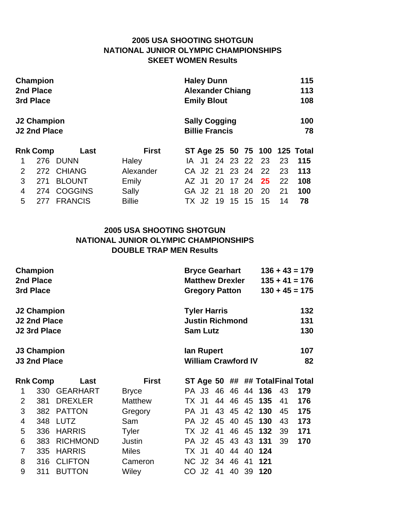### **2005 USA SHOOTING SHOTGUN NATIONAL JUNIOR OLYMPIC CHAMPIONSHIPS SKEET WOMEN Results**

|                | Champion                                  |                |               | <b>Haley Dunn</b>                             | 115             |
|----------------|-------------------------------------------|----------------|---------------|-----------------------------------------------|-----------------|
|                | 2nd Place                                 |                |               | <b>Alexander Chiang</b>                       | 113             |
| 3rd Place      |                                           |                |               | <b>Emily Blout</b>                            | 108             |
|                | <b>J2 Champion</b><br><b>J2 2nd Place</b> |                |               | <b>Sally Cogging</b><br><b>Billie Francis</b> | 100<br>78       |
|                | <b>Rnk Comp</b>                           | Last           | <b>First</b>  | ST Age 25 50 75 100 125 Total                 |                 |
|                | 276                                       | <b>DUNN</b>    | Haley         | 24 23 22 23<br>.J1<br>IA.                     | 23<br>115       |
| $\overline{2}$ | 272                                       | <b>CHIANG</b>  | Alexander     | CA J2 21 23 24                                | 22<br>23<br>113 |
| 3              | 271                                       | <b>BLOUNT</b>  | Emily         | 17 24<br>20<br>AZ J1                          | 22<br>108<br>25 |
| 4              | 274                                       | <b>COGGINS</b> | Sally         | GA J2 21 18 20                                | 20<br>100<br>21 |
| 5              | 277                                       | <b>FRANCIS</b> | <b>Billie</b> | 19<br>15 15<br>TX J2                          | 78<br>15<br>14  |

# **2005 USA SHOOTING SHOTGUN NATIONAL JUNIOR OLYMPIC CHAMPIONSHIPS DOUBLE TRAP MEN Results**

|           |                 |                                                                                                                                                     |                        | $136 + 43 = 179$ |                                                                                           |                     |                                                                                                          |                            |                                  |
|-----------|-----------------|-----------------------------------------------------------------------------------------------------------------------------------------------------|------------------------|------------------|-------------------------------------------------------------------------------------------|---------------------|----------------------------------------------------------------------------------------------------------|----------------------------|----------------------------------|
| 2nd Place |                 |                                                                                                                                                     |                        |                  | $135 + 41 = 176$                                                                          |                     |                                                                                                          |                            |                                  |
| 3rd Place |                 |                                                                                                                                                     |                        |                  | $130 + 45 = 175$                                                                          |                     |                                                                                                          |                            |                                  |
|           |                 |                                                                                                                                                     |                        | 132              |                                                                                           |                     |                                                                                                          |                            |                                  |
|           |                 |                                                                                                                                                     |                        |                  |                                                                                           | 131                 |                                                                                                          |                            |                                  |
|           |                 |                                                                                                                                                     |                        | 130              |                                                                                           |                     |                                                                                                          |                            |                                  |
|           |                 |                                                                                                                                                     |                        |                  | 107                                                                                       |                     |                                                                                                          |                            |                                  |
|           |                 |                                                                                                                                                     |                        |                  |                                                                                           |                     |                                                                                                          |                            | 82                               |
|           | Last            | <b>First</b>                                                                                                                                        |                        |                  |                                                                                           |                     |                                                                                                          |                            |                                  |
| 330       | <b>GEARHART</b> | <b>Bryce</b>                                                                                                                                        |                        |                  |                                                                                           | 44                  | 136                                                                                                      | 43                         | 179                              |
| 381       | <b>DREXLER</b>  | Matthew                                                                                                                                             |                        | 44               | 46                                                                                        | 45                  | 135                                                                                                      | 41                         | 176                              |
| 382       | <b>PATTON</b>   | Gregory                                                                                                                                             | PA                     | 43               | 45                                                                                        | 42                  | 130                                                                                                      | 45                         | 175                              |
| 348       | <b>LUTZ</b>     | Sam                                                                                                                                                 | PA                     | 45               | 40                                                                                        | 45                  | 130                                                                                                      | 43                         | 173                              |
| 336       | <b>HARRIS</b>   | <b>Tyler</b>                                                                                                                                        | TX                     | 41               | 46                                                                                        | 45                  | 132                                                                                                      | 39                         | 171                              |
|           | <b>RICHMOND</b> | Justin                                                                                                                                              | J <sub>2</sub><br>PA.  | 45               | 43                                                                                        | 43                  | 131                                                                                                      | 39                         | 170                              |
|           |                 |                                                                                                                                                     |                        |                  |                                                                                           |                     |                                                                                                          |                            |                                  |
| 335       | <b>HARRIS</b>   | <b>Miles</b>                                                                                                                                        | J <sub>1</sub><br>TX I | 40               | 44                                                                                        | 40                  | 124                                                                                                      |                            |                                  |
| 316       | <b>CLIFTON</b>  | Cameron                                                                                                                                             | NC J <sub>2</sub>      | 34               | 46                                                                                        | 41                  | 121                                                                                                      |                            |                                  |
|           | 383             | <b>Champion</b><br><b>J2 Champion</b><br><b>J2 2nd Place</b><br><b>J2 3rd Place</b><br><b>J3 Champion</b><br><b>J3 2nd Place</b><br><b>Rnk Comp</b> |                        | J <sub>1</sub>   | <b>Sam Lutz</b><br>lan Rupert<br>PA J3<br>46<br>TX J1<br>J <sub>2</sub><br>J <sub>2</sub> | <b>Tyler Harris</b> | <b>Bryce Gearhart</b><br><b>Matthew Drexler</b><br><b>Gregory Patton</b><br><b>Justin Richmond</b><br>46 | <b>William Crawford IV</b> | ST Age 50 ## ## TotalFinal Total |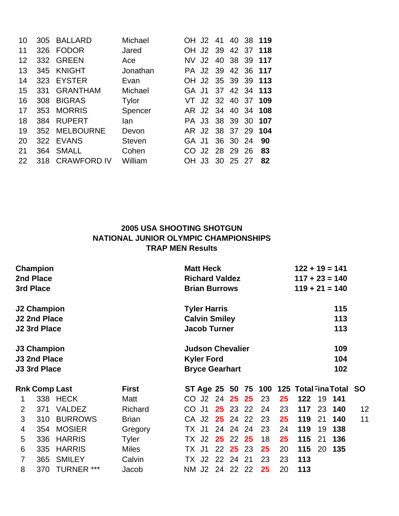| 10 | 305 | <b>BALLARD</b>     | Michael       | OH J2                                    | 41 |          | 40 38 | 119       |
|----|-----|--------------------|---------------|------------------------------------------|----|----------|-------|-----------|
| 11 | 326 | <b>FODOR</b>       | Jared         | J2<br>OH.                                | 39 |          | 42 37 | 118       |
| 12 | 332 | <b>GREEN</b>       | Ace           | J2<br>NV.                                |    | 40 38 39 |       | 117       |
| 13 | 345 | <b>KNIGHT</b>      | Jonathan      | PA J2 39                                 |    |          |       | 42 36 117 |
| 14 | 323 | <b>EYSTER</b>      | Evan          | OH J <sub>2</sub>                        |    | 35 39    |       | 39 113    |
| 15 | 331 | <b>GRANTHAM</b>    | Michael       | GA J1                                    | 37 |          |       | 42 34 113 |
| 16 | 308 | <b>BIGRAS</b>      | <b>Tylor</b>  | VT J2 32                                 |    |          |       | 40 37 109 |
| 17 | 353 | <b>MORRIS</b>      | Spencer       | AR J2                                    | 34 | 40       | -34   | 108       |
| 18 | 384 | <b>RUPERT</b>      | lan           | J3<br>PA.                                |    | 38 39    | 30    | 107       |
| 19 | 352 | <b>MELBOURNE</b>   | Devon         | AR J2 38 37 29                           |    |          |       | 104       |
| 20 | 322 | <b>EVANS</b>       | <b>Steven</b> | GA J1                                    |    | 36 30 24 |       | 90        |
| 21 | 364 | <b>SMALL</b>       | Cohen         | J <sub>2</sub><br>$\left( \cdot \right)$ |    | 28 29    | 26    | 83        |
| 22 | 318 | <b>CRAWFORD IV</b> | William       | J3                                       |    | 30 25    | -27   | 82        |
|    |     |                    |               |                                          |    |          |       |           |

# **2005 USA SHOOTING SHOTGUN NATIONAL JUNIOR OLYMPIC CHAMPIONSHIPS TRAP MEN Results**

| Champion            |                   |                                                                                                                   |                       | <b>Matt Heck</b>        |                                                    |  |                                                                                                 |                                                          |    | $122 + 19 = 141$ |    |     |                                                                           |  |
|---------------------|-------------------|-------------------------------------------------------------------------------------------------------------------|-----------------------|-------------------------|----------------------------------------------------|--|-------------------------------------------------------------------------------------------------|----------------------------------------------------------|----|------------------|----|-----|---------------------------------------------------------------------------|--|
|                     |                   |                                                                                                                   | <b>Richard Valdez</b> |                         |                                                    |  |                                                                                                 | $117 + 23 = 140$                                         |    |                  |    |     |                                                                           |  |
|                     |                   |                                                                                                                   | <b>Brian Burrows</b>  |                         |                                                    |  |                                                                                                 |                                                          |    |                  |    |     |                                                                           |  |
|                     |                   |                                                                                                                   |                       |                         |                                                    |  |                                                                                                 |                                                          |    | 115              |    |     |                                                                           |  |
|                     |                   |                                                                                                                   |                       |                         |                                                    |  |                                                                                                 |                                                          |    |                  |    | 113 |                                                                           |  |
|                     |                   |                                                                                                                   | <b>Jacob Turner</b>   |                         |                                                    |  |                                                                                                 |                                                          |    |                  |    | 113 |                                                                           |  |
| J3 Champion         |                   |                                                                                                                   |                       | <b>Judson Chevalier</b> |                                                    |  |                                                                                                 |                                                          |    | 109              |    |     |                                                                           |  |
| <b>J3 2nd Place</b> |                   |                                                                                                                   |                       | <b>Kyler Ford</b>       |                                                    |  |                                                                                                 |                                                          |    |                  |    | 104 |                                                                           |  |
| <b>J3 3rd Place</b> |                   |                                                                                                                   |                       | <b>Bryce Gearhart</b>   |                                                    |  |                                                                                                 |                                                          |    |                  |    | 102 |                                                                           |  |
|                     |                   | <b>First</b>                                                                                                      |                       |                         |                                                    |  |                                                                                                 |                                                          |    |                  |    |     |                                                                           |  |
|                     |                   | Matt                                                                                                              |                       |                         |                                                    |  |                                                                                                 | 23                                                       | 25 | 122              |    |     |                                                                           |  |
| 371                 | <b>VALDEZ</b>     | Richard                                                                                                           |                       |                         |                                                    |  |                                                                                                 | 24                                                       | 23 | 117              | 23 | 140 | 12                                                                        |  |
| 310                 | <b>BURROWS</b>    | <b>Brian</b>                                                                                                      |                       |                         |                                                    |  | -22                                                                                             | 23                                                       | 25 | 119              | 21 | 140 | 11                                                                        |  |
| 354                 | <b>MOSIER</b>     | Gregory                                                                                                           |                       |                         |                                                    |  | 24                                                                                              | 23                                                       | 24 | 119              | 19 | 138 |                                                                           |  |
| 336                 | <b>HARRIS</b>     | Tyler                                                                                                             |                       |                         | $25\,$                                             |  |                                                                                                 | 18                                                       | 25 | 115              | 21 | 136 |                                                                           |  |
| 335                 | <b>HARRIS</b>     | <b>Miles</b>                                                                                                      |                       |                         |                                                    |  | 23                                                                                              | 25                                                       | 20 | 115              | 20 | 135 |                                                                           |  |
| 365                 | <b>SMILEY</b>     | Calvin                                                                                                            |                       |                         |                                                    |  | 21                                                                                              | 23                                                       | 23 | 113              |    |     |                                                                           |  |
| 370                 | <b>TURNER ***</b> | Jacob                                                                                                             |                       |                         |                                                    |  |                                                                                                 | 25                                                       | 20 | 113              |    |     |                                                                           |  |
|                     | 3rd Place         | 2nd Place<br><b>J2 Champion</b><br><b>J2 2nd Place</b><br><b>J2 3rd Place</b><br><b>Rnk Comp Last</b><br>338 HECK |                       |                         | CO J1<br>CA J2<br>TX J1<br>TX J2<br>TX J1<br>TX J2 |  | <b>Tyler Harris</b><br><b>Calvin Smiley</b><br>25 <sub>2</sub><br>25<br>24 24<br>22 25<br>22 24 | CO J2 24 25 25<br>23 22<br>24<br>22 25<br>NM J2 24 22 22 |    |                  |    |     | $119 + 21 = 140$<br>ST Age 25 50 75 100 125 Total Fina Total SO<br>19 141 |  |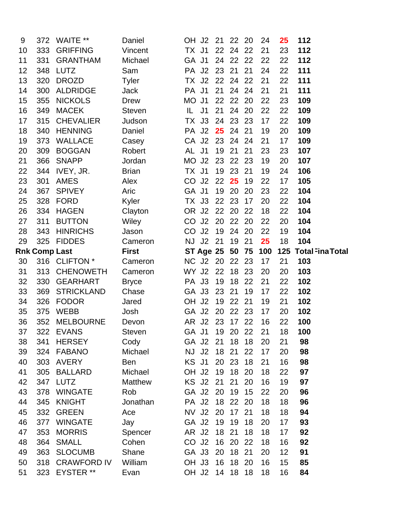| 9  | 372 | WAITE **             | Daniel        | OH J2                 | 21       | 22              | 20 | 24  | 25  | 112                     |
|----|-----|----------------------|---------------|-----------------------|----------|-----------------|----|-----|-----|-------------------------|
| 10 | 333 | <b>GRIFFING</b>      | Vincent       | TX J1                 | 22       | 24              | 22 | 21  | 23  | 112                     |
| 11 | 331 | <b>GRANTHAM</b>      | Michael       | GA J1                 | 24       | 22              | 22 | 22  | 22  | 112                     |
| 12 | 348 | <b>LUTZ</b>          | Sam           | PA J2                 | 23       | 21              | 21 | 24  | 22  | 111                     |
| 13 | 320 | <b>DROZD</b>         | <b>Tyler</b>  | TX J2                 | 22       | 24              | 22 | 21  | 22  | 111                     |
| 14 | 300 | <b>ALDRIDGE</b>      | Jack          | PA J1                 | 21       | 24              | 24 | 21  | 21  | 111                     |
| 15 | 355 | <b>NICKOLS</b>       | <b>Drew</b>   | MO J1                 | 22       | 22              | 20 | 22  | 23  | 109                     |
| 16 | 349 | <b>MACEK</b>         | <b>Steven</b> | J <sub>1</sub><br>IL. | 21       | 24              | 20 | 22  | 22  | 109                     |
| 17 | 315 | <b>CHEVALIER</b>     | Judson        | TX J3                 | 24       | 23              | 23 | 17  | 22  | 109                     |
| 18 | 340 | <b>HENNING</b>       | Daniel        | PA J2                 | 25       | 24              | 21 | 19  | 20  | 109                     |
| 19 | 373 | <b>WALLACE</b>       | Casey         | CA J2                 | 23       | 24              | 24 | 21  | 17  | 109                     |
| 20 | 309 | <b>BOGGAN</b>        | Robert        | AL J1                 | 19       | 21              | 21 | 23  | 23  | 107                     |
| 21 | 366 | <b>SNAPP</b>         | Jordan        | MO J2                 | 23       | 22              | 23 | 19  | 20  | 107                     |
| 22 | 344 | IVEY, JR.            | <b>Brian</b>  | TX J1                 | 19       | 23              | 21 | 19  | 24  | 106                     |
| 23 | 301 | <b>AMES</b>          | Alex          | CO J <sub>2</sub>     | 22       | 25              | 19 | 22  | 17  | 105                     |
| 24 | 367 | <b>SPIVEY</b>        | Aric          | GA J1                 | 19       | 20              | 20 | 23  | 22  | 104                     |
| 25 | 328 | <b>FORD</b>          | Kyler         | TX J3                 | 22       | 23              | 17 | 20  | 22  | 104                     |
| 26 | 334 | <b>HAGEN</b>         | Clayton       | OR J2                 | 22       | 20              | 22 | 18  | 22  | 104                     |
| 27 | 311 | <b>BUTTON</b>        | Wiley         | CO J <sub>2</sub>     | 20       | 22              | 20 | 22  | 20  | 104                     |
| 28 | 343 | <b>HINRICHS</b>      | Jason         | CO J <sub>2</sub>     | 19       | 24              | 20 | 22  | 19  | 104                     |
| 29 |     | 325 FIDDES           | Cameron       | NJ J2                 | 21       | 19              | 21 | 25  | 18  | 104                     |
|    |     | <b>Rnk Comp Last</b> | <b>First</b>  | ST Age 25             |          | 50              | 75 | 100 | 125 | <b>Total</b> -ina Total |
| 30 |     | 316 CLIFTON *        | Cameron       | NC J2 20              |          | 22              | 23 | 17  | 21  | 103                     |
| 31 | 313 | <b>CHENOWETH</b>     | Cameron       | WY J2                 | 22       | 18              | 23 | 20  | 20  | 103                     |
| 32 | 330 | <b>GEARHART</b>      | <b>Bryce</b>  | PA J3                 | 19       | 18              | 22 | 21  | 22  | 102                     |
| 33 | 369 | <b>STRICKLAND</b>    | Chase         | GA J3                 | 23       | 21              | 19 | 17  | 22  | 102                     |
| 34 | 326 | <b>FODOR</b>         | Jared         | OH J2                 | 19       | 22              | 21 | 19  | 21  | 102                     |
| 35 | 375 | <b>WEBB</b>          | Josh          | GA J2                 | 20       | 22              | 23 | 17  | 20  | 102                     |
| 36 | 352 | <b>MELBOURNE</b>     | Devon         | AR J2                 | 23       | 17 <sup>2</sup> | 22 | 16  | 22  | 100                     |
| 37 | 322 | <b>EVANS</b>         | Steven        | GA J1                 | 19       | 20              | 22 | 21  | 18  | 100                     |
| 38 | 341 | <b>HERSEY</b>        | Cody          | GA J2                 | 21       | 18              | 18 | 20  | 21  | 98                      |
| 39 | 324 | <b>FABANO</b>        | Michael       | NJ J2                 | 18       | 21              | 22 | 17  | 20  | 98                      |
| 40 | 303 | <b>AVERY</b>         | Ben           | KS J1                 | 20       | 23              | 18 | 21  | 16  | 98                      |
| 41 | 305 | <b>BALLARD</b>       | Michael       | OH J2                 | 19       | 18              | 20 | 18  | 22  | 97                      |
| 42 |     | 347 LUTZ             | Matthew       | KS J2                 | 21       | 21              | 20 | 16  | 19  | 97                      |
| 43 | 378 | <b>WINGATE</b>       | <b>Rob</b>    | GA J2                 | 20       | 19              | 15 | 22  | 20  | 96                      |
| 44 | 345 | <b>KNIGHT</b>        | Jonathan      | PA J2                 | 18       | 22              | 20 | 18  | 18  | 96                      |
| 45 | 332 | <b>GREEN</b>         | Ace           | NV J2                 | 20       | 17              | 21 | 18  | 18  | 94                      |
| 46 | 377 | <b>WINGATE</b>       | Jay           | GA J2                 | 19       | 19              | 18 | 20  | 17  | 93                      |
| 47 | 353 | <b>MORRIS</b>        | Spencer       | AR J2                 | 18       | 21              | 18 | 18  | 17  | 92                      |
| 48 | 364 | <b>SMALL</b>         | Cohen         | CO J <sub>2</sub>     | 16       | 20              | 22 | 18  | 16  | 92                      |
| 49 | 363 | <b>SLOCUMB</b>       | Shane         | GA J3                 | 20       | 18              | 21 | 20  | 12  | 91                      |
| 50 |     | <b>CRAWFORD IV</b>   | William       |                       |          |                 | 20 | 16  | 15  | 85                      |
| 51 | 318 | 323 EYSTER **        | Evan          | OH J3<br>OH J2        | 16<br>14 | 18<br>18        | 18 | 18  | 16  | 84                      |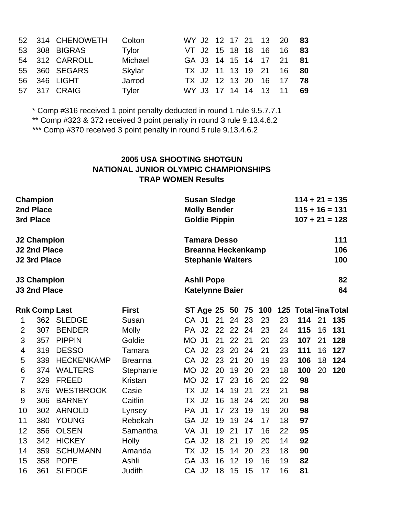|  | 52 314 CHENOWETH | Colton  |  |  |  | WY J2 12 17 21 13 20 83 |  |
|--|------------------|---------|--|--|--|-------------------------|--|
|  | 53 308 BIGRAS    | Tylor   |  |  |  | VT J2 15 18 18 16 16 83 |  |
|  | 54 312 CARROLL   | Michael |  |  |  | GA J3 14 15 14 17 21 81 |  |
|  | 55 360 SEGARS    | Skylar  |  |  |  | TX J2 11 13 19 21 16 80 |  |
|  | 56 346 LIGHT     | Jarrod  |  |  |  | TX J2 12 13 20 16 17 78 |  |
|  | 57 317 CRAIG     | Tyler   |  |  |  | WY J3 17 14 14 13 11 69 |  |

\* Comp #316 received 1 point penalty deducted in round 1 rule 9.5.7.7.1

\*\* Comp #323 & 372 received 3 point penalty in round 3 rule 9.13.4.6.2

\*\*\* Comp #370 received 3 point penalty in round 5 rule 9.13.4.6.2

#### **2005 USA SHOOTING SHOTGUN NATIONAL JUNIOR OLYMPIC CHAMPIONSHIPS TRAP WOMEN Results**

|                | Champion<br>2nd Place<br>3rd Place                               |                   |                |                                                                              | <b>Susan Sledge</b><br><b>Molly Bender</b><br><b>Goldie Pippin</b> |    |    |                   |    |                      |    | $114 + 21 = 135$<br>$115 + 16 = 131$<br>$107 + 21 = 128$ |
|----------------|------------------------------------------------------------------|-------------------|----------------|------------------------------------------------------------------------------|--------------------------------------------------------------------|----|----|-------------------|----|----------------------|----|----------------------------------------------------------|
|                | <b>J2 Champion</b><br><b>J2 2nd Place</b><br><b>J2 3rd Place</b> |                   |                | <b>Tamara Desso</b><br><b>Breanna Heckenkamp</b><br><b>Stephanie Walters</b> |                                                                    |    |    | 111<br>106<br>100 |    |                      |    |                                                          |
|                | <b>J3 Champion</b><br><b>J3 2nd Place</b>                        |                   |                |                                                                              | <b>Ashli Pope</b><br><b>Katelynne Baier</b>                        |    |    |                   |    |                      |    | 82<br>64                                                 |
|                | <b>Rnk Comp Last</b>                                             |                   | <b>First</b>   | ST Age 25                                                                    |                                                                    | 50 | 75 | 100               |    | 125 Total Fina Total |    |                                                          |
| 1              | 362                                                              | <b>SLEDGE</b>     | Susan          | CA J1                                                                        | 21                                                                 | 24 | 23 | 23                | 23 | 114                  | 21 | 135                                                      |
| $\overline{2}$ | 307                                                              | <b>BENDER</b>     | <b>Molly</b>   | PA J2                                                                        | 22                                                                 | 22 | 24 | 23                | 24 | 115                  | 16 | 131                                                      |
| 3              | 357                                                              | <b>PIPPIN</b>     | Goldie         | MO J1                                                                        | 21                                                                 | 22 | 21 | 20                | 23 | 107                  | 21 | 128                                                      |
| 4              | 319                                                              | <b>DESSO</b>      | Tamara         | CA J2                                                                        | 23                                                                 | 20 | 24 | 21                | 23 | 111                  | 16 | 127                                                      |
| 5              | 339                                                              | <b>HECKENKAMP</b> | <b>Breanna</b> | CA J2                                                                        | 23                                                                 | 21 | 20 | 19                | 23 | 106                  | 18 | 124                                                      |
| 6              | 374                                                              | <b>WALTERS</b>    | Stephanie      | J <sub>2</sub><br>MO                                                         | 20                                                                 | 19 | 20 | 23                | 18 | 100                  | 20 | 120                                                      |
| 7              | 329                                                              | <b>FREED</b>      | Kristan        | MO<br>J <sub>2</sub>                                                         | 17                                                                 | 23 | 16 | 20                | 22 | 98                   |    |                                                          |
| 8              | 376                                                              | <b>WESTBROOK</b>  | Casie          | J <sub>2</sub><br>TX                                                         | 14                                                                 | 19 | 21 | 23                | 21 | 98                   |    |                                                          |
| 9              | 306                                                              | <b>BARNEY</b>     | Caitlin        | J <sub>2</sub><br>TX.                                                        | 16                                                                 | 18 | 24 | 20                | 20 | 98                   |    |                                                          |
| 10             | 302                                                              | <b>ARNOLD</b>     | Lynsey         | PA J1                                                                        | 17                                                                 | 23 | 19 | 19                | 20 | 98                   |    |                                                          |
| 11             | 380                                                              | <b>YOUNG</b>      | Rebekah        | GA J2                                                                        | 19                                                                 | 19 | 24 | 17                | 18 | 97                   |    |                                                          |
| 12             | 356                                                              | <b>OLSEN</b>      | Samantha       | VA J1                                                                        | 19                                                                 | 21 | 17 | 16                | 22 | 95                   |    |                                                          |
| 13             | 342                                                              | <b>HICKEY</b>     | Holly          | GA J2                                                                        | 18                                                                 | 21 | 19 | 20                | 14 | 92                   |    |                                                          |
| 14             | 359                                                              | <b>SCHUMANN</b>   | Amanda         | TX J2                                                                        | 15                                                                 | 14 | 20 | 23                | 18 | 90                   |    |                                                          |
| 15             | 358                                                              | <b>POPE</b>       | Ashli          | GA J3                                                                        | 16                                                                 | 12 | 19 | 16                | 19 | 82                   |    |                                                          |
| 16             | 361                                                              | <b>SLEDGE</b>     | Judith         | CA J2                                                                        | 18                                                                 | 15 | 15 | 17                | 16 | 81                   |    |                                                          |